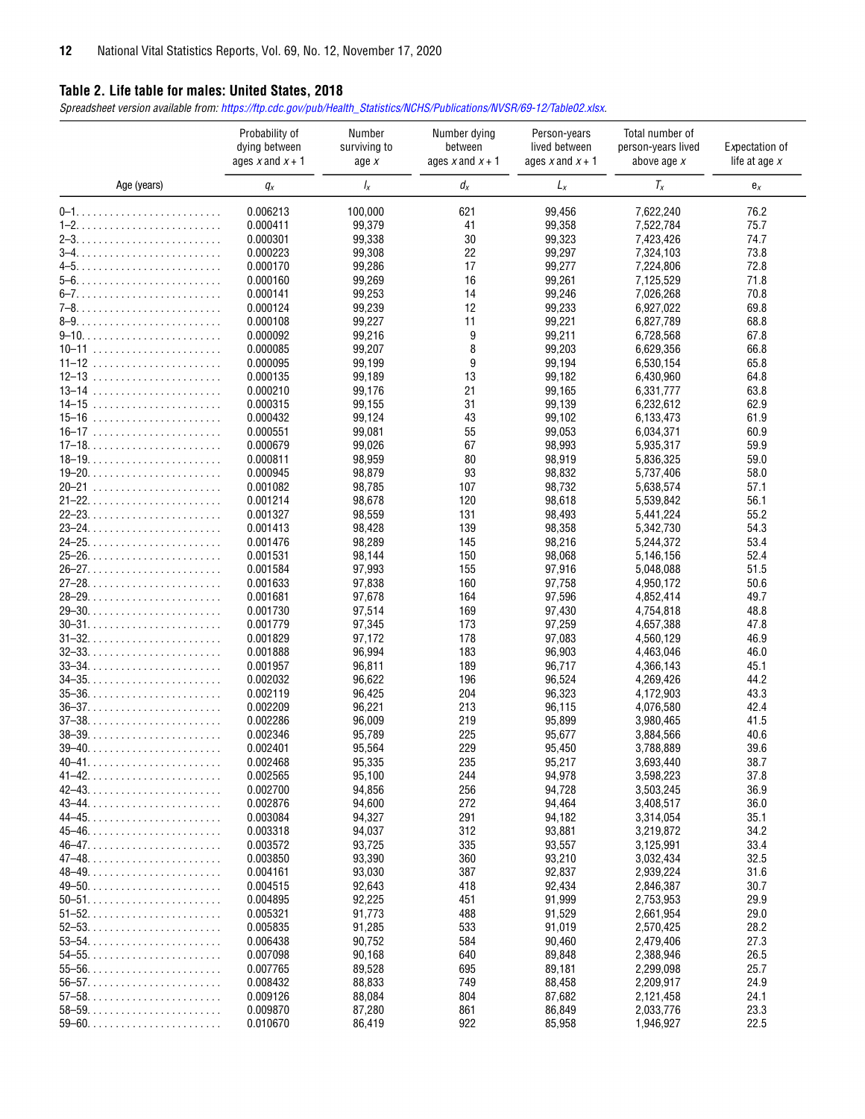## **Table 2. Life table for males: United States, 2018**

*Spreadsheet version available from: [https://ftp.cdc.gov/pub/Health\\_Statistics/NCHS/Publications/NVSR/69-12/Table02.xlsx.](https://ftp.cdc.gov/pub/Health_Statistics/NCHS/Publications/NVSR/69-12/Table02.xlsx)* 

|                                                                    | Probability of<br>dying between<br>ages $x$ and $x + 1$ | Number<br>surviving to<br>age $x$ | Number dying<br>between<br>ages $x$ and $x + 1$ | Person-years<br>lived between<br>ages $x$ and $x + 1$ | Total number of<br>person-years lived<br>above age $x$ | Expectation of<br>life at age $x$ |
|--------------------------------------------------------------------|---------------------------------------------------------|-----------------------------------|-------------------------------------------------|-------------------------------------------------------|--------------------------------------------------------|-----------------------------------|
| Age (years)                                                        | $q_x$                                                   | Ιx                                | $d_{x}$                                         | $L_x$                                                 | $T_x$                                                  | $e_{x}$                           |
|                                                                    | 0.006213                                                | 100,000                           | 621                                             | 99,456                                                | 7,622,240                                              | 76.2                              |
|                                                                    | 0.000411                                                | 99,379                            | 41                                              | 99,358                                                | 7,522,784                                              | 75.7                              |
|                                                                    | 0.000301                                                | 99,338                            | 30                                              | 99,323                                                | 7,423,426                                              | 74.7                              |
|                                                                    | 0.000223                                                | 99,308                            | 22                                              | 99,297                                                | 7,324,103                                              | 73.8                              |
|                                                                    | 0.000170                                                | 99,286                            | 17                                              | 99,277                                                | 7,224,806                                              | 72.8                              |
|                                                                    | 0.000160                                                | 99,269                            | 16                                              | 99,261                                                | 7,125,529                                              | 71.8                              |
|                                                                    | 0.000141                                                | 99,253                            | 14                                              | 99,246                                                | 7,026,268                                              | 70.8                              |
|                                                                    | 0.000124                                                | 99,239                            | 12                                              | 99,233                                                | 6,927,022                                              | 69.8                              |
|                                                                    | 0.000108                                                | 99,227                            | 11                                              | 99,221                                                | 6,827,789                                              | 68.8                              |
|                                                                    | 0.000092                                                | 99,216                            | 9                                               | 99,211                                                | 6,728,568                                              | 67.8                              |
| $10 - 11$                                                          | 0.000085                                                | 99,207                            | 8                                               | 99,203                                                | 6,629,356                                              | 66.8                              |
|                                                                    | 0.000095                                                | 99,199                            | 9                                               | 99,194                                                | 6,530,154                                              | 65.8                              |
|                                                                    | 0.000135                                                | 99,189                            | 13                                              | 99,182                                                | 6,430,960                                              | 64.8                              |
| $13 - 14$                                                          | 0.000210                                                | 99,176                            | 21                                              | 99,165                                                | 6,331,777                                              | 63.8                              |
| $14 - 15$                                                          | 0.000315                                                | 99,155                            | 31                                              | 99,139                                                | 6,232,612                                              | 62.9                              |
| $15 - 16$                                                          | 0.000432<br>0.000551                                    | 99,124                            | 43<br>55                                        | 99,102                                                | 6,133,473                                              | 61.9<br>60.9                      |
|                                                                    |                                                         | 99,081                            | 67                                              | 99,053                                                | 6,034,371                                              | 59.9                              |
|                                                                    | 0.000679<br>0.000811                                    | 99,026<br>98,959                  | 80                                              | 98,993<br>98,919                                      | 5,935,317<br>5,836,325                                 | 59.0                              |
|                                                                    | 0.000945                                                | 98,879                            | 93                                              | 98,832                                                | 5,737,406                                              | 58.0                              |
| $20 - 21$                                                          | 0.001082                                                | 98,785                            | 107                                             | 98,732                                                | 5,638,574                                              | 57.1                              |
|                                                                    | 0.001214                                                | 98,678                            | 120                                             | 98,618                                                | 5,539,842                                              | 56.1                              |
|                                                                    | 0.001327                                                | 98,559                            | 131                                             | 98,493                                                | 5,441,224                                              | 55.2                              |
|                                                                    | 0.001413                                                | 98,428                            | 139                                             | 98,358                                                | 5,342,730                                              | 54.3                              |
|                                                                    | 0.001476                                                | 98,289                            | 145                                             | 98,216                                                | 5,244,372                                              | 53.4                              |
|                                                                    | 0.001531                                                | 98,144                            | 150                                             | 98,068                                                | 5,146,156                                              | 52.4                              |
|                                                                    | 0.001584                                                | 97,993                            | 155                                             | 97,916                                                | 5,048,088                                              | 51.5                              |
|                                                                    | 0.001633                                                | 97,838                            | 160                                             | 97,758                                                | 4,950,172                                              | 50.6                              |
|                                                                    | 0.001681                                                | 97,678                            | 164                                             | 97,596                                                | 4,852,414                                              | 49.7                              |
|                                                                    | 0.001730                                                | 97,514                            | 169                                             | 97,430                                                | 4,754,818                                              | 48.8                              |
|                                                                    | 0.001779                                                | 97,345                            | 173                                             | 97,259                                                | 4,657,388                                              | 47.8                              |
|                                                                    | 0.001829                                                | 97,172                            | 178                                             | 97,083                                                | 4,560,129                                              | 46.9                              |
|                                                                    | 0.001888                                                | 96,994                            | 183                                             | 96,903                                                | 4,463,046                                              | 46.0                              |
|                                                                    | 0.001957                                                | 96,811                            | 189                                             | 96,717                                                | 4,366,143                                              | 45.1                              |
| $34 - 35. \ldots \ldots \ldots \ldots \ldots \ldots \ldots$        | 0.002032                                                | 96,622                            | 196                                             | 96,524                                                | 4,269,426                                              | 44.2                              |
| $35 - 36. \ldots \ldots \ldots \ldots \ldots \ldots \ldots$        | 0.002119                                                | 96,425                            | 204                                             | 96,323                                                | 4,172,903                                              | 43.3                              |
|                                                                    | 0.002209                                                | 96,221                            | 213                                             | 96,115                                                | 4,076,580                                              | 42.4                              |
|                                                                    | 0.002286                                                | 96,009                            | 219                                             | 95,899                                                | 3,980,465                                              | 41.5                              |
| $38 - 39. \ldots \ldots \ldots \ldots \ldots \ldots \ldots \ldots$ | 0.002346<br>0.002401                                    | 95,789                            | 225                                             | 95,677                                                | 3,884,566                                              | 40.6                              |
|                                                                    | 0.002468                                                | 95,564                            | 229                                             | 95,450<br>95,217                                      | 3,788,889<br>3,693,440                                 | 39.6<br>38.7                      |
|                                                                    | 0.002565                                                | 95,335<br>95,100                  | 235<br>244                                      | 94,978                                                | 3,598,223                                              | 37.8                              |
|                                                                    | 0.002700                                                | 94,856                            | 256                                             | 94,728                                                | 3,503,245                                              | 36.9                              |
|                                                                    | 0.002876                                                | 94,600                            | 272                                             | 94,464                                                | 3,408,517                                              | 36.0                              |
|                                                                    | 0.003084                                                | 94,327                            | 291                                             | 94,182                                                | 3,314,054                                              | 35.1                              |
|                                                                    | 0.003318                                                | 94,037                            | 312                                             | 93,881                                                | 3,219,872                                              | 34.2                              |
|                                                                    | 0.003572                                                | 93,725                            | 335                                             | 93,557                                                | 3,125,991                                              | 33.4                              |
|                                                                    | 0.003850                                                | 93,390                            | 360                                             | 93,210                                                | 3,032,434                                              | 32.5                              |
|                                                                    | 0.004161                                                | 93,030                            | 387                                             | 92,837                                                | 2,939,224                                              | 31.6                              |
|                                                                    | 0.004515                                                | 92,643                            | 418                                             | 92,434                                                | 2,846,387                                              | 30.7                              |
| $50 - 51.$                                                         | 0.004895                                                | 92,225                            | 451                                             | 91,999                                                | 2,753,953                                              | 29.9                              |
| $51 - 52.$                                                         | 0.005321                                                | 91,773                            | 488                                             | 91,529                                                | 2,661,954                                              | 29.0                              |
| $52 - 53. \ldots \ldots \ldots \ldots \ldots \ldots \ldots$        | 0.005835                                                | 91,285                            | 533                                             | 91,019                                                | 2,570,425                                              | 28.2                              |
|                                                                    | 0.006438                                                | 90,752                            | 584                                             | 90,460                                                | 2,479,406                                              | 27.3                              |
| $54 - 55$                                                          | 0.007098                                                | 90,168                            | 640                                             | 89,848                                                | 2,388,946                                              | 26.5                              |
|                                                                    | 0.007765                                                | 89,528                            | 695                                             | 89,181                                                | 2,299,098                                              | 25.7                              |
|                                                                    | 0.008432                                                | 88,833                            | 749                                             | 88,458                                                | 2,209,917                                              | 24.9                              |
|                                                                    | 0.009126                                                | 88,084                            | 804                                             | 87,682                                                | 2,121,458                                              | 24.1                              |
| $58 - 59. \ldots \ldots \ldots \ldots \ldots \ldots \ldots$        | 0.009870                                                | 87,280                            | 861                                             | 86,849                                                | 2,033,776                                              | 23.3                              |
| $59 - 60. \ldots \ldots \ldots \ldots \ldots \ldots \ldots$        | 0.010670                                                | 86,419                            | 922                                             | 85,958                                                | 1,946,927                                              | 22.5                              |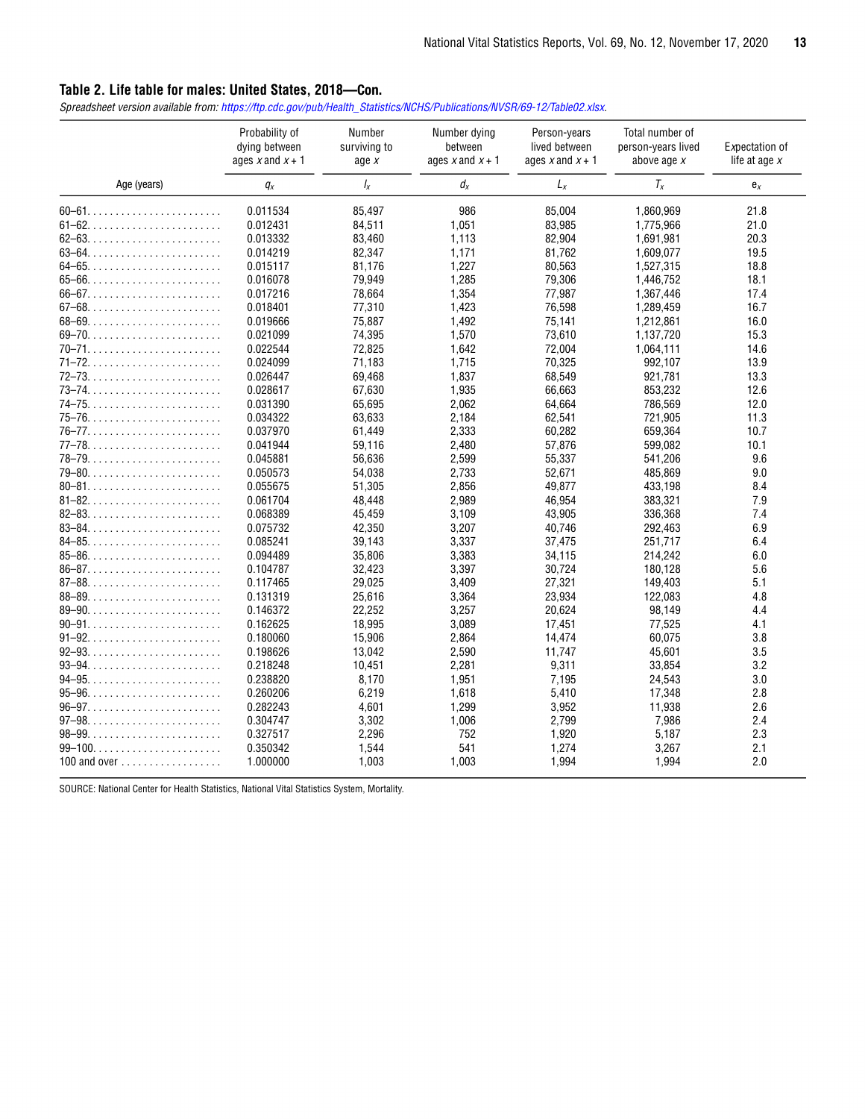## **Table 2. Life table for males: United States, 2018**—Con.

*Spreadsheet version available from: [https://ftp.cdc.gov/pub/Health\\_Statistics/NCHS/Publications/NVSR/69-12/Table02.xlsx.](https://ftp.cdc.gov/pub/Health_Statistics/NCHS/Publications/NVSR/69-12/Table02.xlsx)* 

|              | Probability of<br>dying between<br>ages $x$ and $x + 1$ | <b>Number</b><br>surviving to<br>age $x$ | Number dying<br>between<br>ages $x$ and $x + 1$ | Person-years<br>lived between<br>ages $x$ and $x + 1$ | Total number of<br>person-years lived<br>above age $x$ | Expectation of<br>life at age $x$ |
|--------------|---------------------------------------------------------|------------------------------------------|-------------------------------------------------|-------------------------------------------------------|--------------------------------------------------------|-----------------------------------|
| Age (years)  | $q_x$                                                   | $\frac{1}{x}$                            | $d_{x}$                                         | $L_x$                                                 | $T_x$                                                  | $\mathbf{e}_x$                    |
|              | 0.011534                                                | 85,497                                   | 986                                             | 85,004                                                | 1,860,969                                              | 21.8                              |
|              | 0.012431                                                | 84,511                                   | 1,051                                           | 83,985                                                | 1,775,966                                              | 21.0                              |
|              | 0.013332                                                | 83,460                                   | 1.113                                           | 82,904                                                | 1,691,981                                              | 20.3                              |
|              | 0.014219                                                | 82.347                                   | 1.171                                           | 81,762                                                | 1,609,077                                              | 19.5                              |
|              | 0.015117                                                | 81,176                                   | 1.227                                           | 80,563                                                | 1,527,315                                              | 18.8                              |
|              | 0.016078                                                | 79,949                                   | 1,285                                           | 79,306                                                | 1,446,752                                              | 18.1                              |
| $66 - 67$    | 0.017216                                                | 78,664                                   | 1,354                                           | 77,987                                                | 1,367,446                                              | 17.4                              |
|              | 0.018401                                                | 77,310                                   | 1,423                                           | 76,598                                                | 1,289,459                                              | 16.7                              |
|              | 0.019666                                                | 75,887                                   | 1,492                                           | 75.141                                                | 1,212,861                                              | 16.0                              |
|              | 0.021099                                                | 74,395                                   | 1,570                                           | 73,610                                                | 1,137,720                                              | 15.3                              |
|              | 0.022544                                                | 72,825                                   | 1,642                                           | 72,004                                                | 1,064,111                                              | 14.6                              |
|              | 0.024099                                                | 71,183                                   | 1.715                                           | 70,325                                                | 992,107                                                | 13.9                              |
|              | 0.026447                                                | 69,468                                   | 1,837                                           | 68,549                                                | 921,781                                                | 13.3                              |
|              | 0.028617                                                | 67,630                                   | 1,935                                           | 66,663                                                | 853,232                                                | 12.6                              |
|              | 0.031390                                                | 65,695                                   | 2,062                                           | 64,664                                                | 786,569                                                | 12.0                              |
|              | 0.034322                                                | 63,633                                   | 2,184                                           | 62,541                                                | 721,905                                                | 11.3                              |
|              | 0.037970                                                | 61,449                                   | 2,333                                           | 60,282                                                | 659,364                                                | 10.7                              |
|              | 0.041944                                                | 59,116                                   | 2,480                                           | 57,876                                                | 599,082                                                | 10.1                              |
|              | 0.045881                                                | 56,636                                   | 2,599                                           | 55,337                                                | 541,206                                                | 9.6                               |
|              |                                                         |                                          |                                                 |                                                       |                                                        |                                   |
|              | 0.050573                                                | 54,038                                   | 2,733                                           | 52,671                                                | 485,869                                                | 9.0                               |
|              | 0.055675                                                | 51,305                                   | 2,856                                           | 49,877                                                | 433,198                                                | 8.4                               |
|              | 0.061704                                                | 48,448                                   | 2,989                                           | 46,954                                                | 383,321                                                | 7.9                               |
|              | 0.068389                                                | 45,459                                   | 3,109                                           | 43,905                                                | 336,368                                                | 7.4                               |
|              | 0.075732                                                | 42,350                                   | 3,207                                           | 40,746                                                | 292,463                                                | 6.9                               |
| $84-85$      | 0.085241                                                | 39,143                                   | 3,337                                           | 37,475                                                | 251,717                                                | 6.4                               |
|              | 0.094489                                                | 35,806                                   | 3,383                                           | 34,115                                                | 214,242                                                | 6.0                               |
|              | 0.104787                                                | 32.423                                   | 3.397                                           | 30,724                                                | 180.128                                                | 5.6                               |
|              | 0.117465                                                | 29,025                                   | 3,409                                           | 27,321                                                | 149,403                                                | 5.1                               |
|              | 0.131319                                                | 25,616                                   | 3,364                                           | 23,934                                                | 122,083                                                | 4.8                               |
|              | 0.146372                                                | 22,252                                   | 3,257                                           | 20,624                                                | 98,149                                                 | 4.4                               |
|              | 0.162625                                                | 18,995                                   | 3,089                                           | 17,451                                                | 77,525                                                 | 4.1                               |
|              | 0.180060                                                | 15,906                                   | 2,864                                           | 14,474                                                | 60.075                                                 | 3.8                               |
|              | 0.198626                                                | 13,042                                   | 2,590                                           | 11,747                                                | 45,601                                                 | 3.5                               |
|              | 0.218248                                                | 10,451                                   | 2,281                                           | 9,311                                                 | 33,854                                                 | 3.2                               |
|              | 0.238820                                                | 8,170                                    | 1,951                                           | 7,195                                                 | 24,543                                                 | 3.0                               |
|              | 0.260206                                                | 6,219                                    | 1,618                                           | 5,410                                                 | 17,348                                                 | 2.8                               |
| $96 - 97.$   | 0.282243                                                | 4,601                                    | 1,299                                           | 3,952                                                 | 11,938                                                 | 2.6                               |
|              | 0.304747                                                | 3,302                                    | 1,006                                           | 2,799                                                 | 7,986                                                  | 2.4                               |
| $98 - 99.$   | 0.327517                                                | 2,296                                    | 752                                             | 1,920                                                 | 5,187                                                  | 2.3                               |
|              | 0.350342                                                | 1,544                                    | 541                                             | 1,274                                                 | 3,267                                                  | 2.1                               |
| 100 and over | 1.000000                                                | 1,003                                    | 1,003                                           | 1,994                                                 | 1,994                                                  | 2.0                               |

SOURCE: National Center for Health Statistics, National Vital Statistics System, Mortality.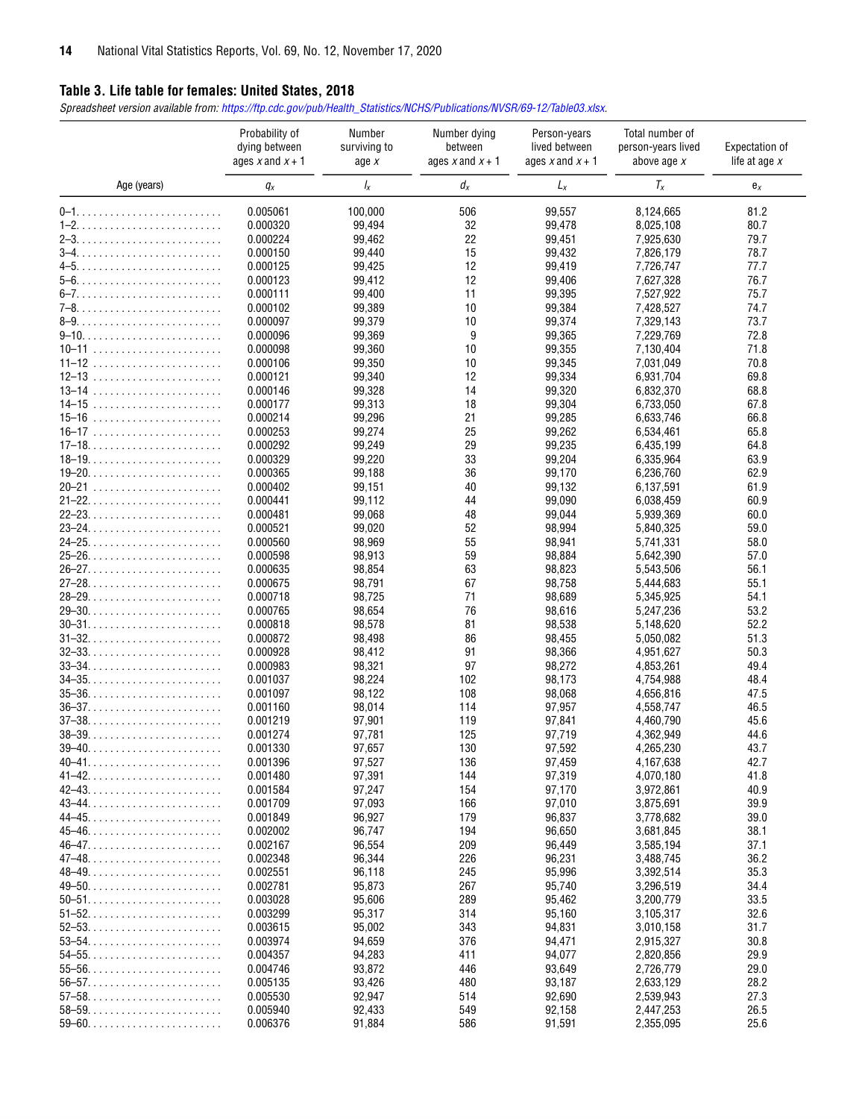## **Table 3. Life table for females: United States, 2018**

*Spreadsheet version available from: [https://ftp.cdc.gov/pub/Health\\_Statistics/NCHS/Publications/NVSR/69-12/Table03.xlsx.](https://ftp.cdc.gov/pub/Health_Statistics/NCHS/Publications/NVSR/69-12/Table03.xlsx)* 

|                                                                    | Probability of<br>dying between<br>ages x and $x + 1$ | Number<br>surviving to<br>age $x$ | Number dying<br>between<br>ages $x$ and $x + 1$ | Person-years<br>lived between<br>ages x and $x + 1$ | Total number of<br>person-years lived<br>above age x | Expectation of<br>life at age $x$ |
|--------------------------------------------------------------------|-------------------------------------------------------|-----------------------------------|-------------------------------------------------|-----------------------------------------------------|------------------------------------------------------|-----------------------------------|
| Age (years)                                                        | $q_x$                                                 | $\frac{1}{x}$                     | $d_{x}$                                         | $L_x$                                               | $T_x$                                                | $e_{x}$                           |
|                                                                    | 0.005061                                              | 100,000                           | 506                                             | 99,557                                              | 8,124,665                                            | 81.2                              |
|                                                                    | 0.000320                                              | 99,494                            | 32                                              | 99,478                                              | 8,025,108                                            | 80.7                              |
|                                                                    | 0.000224                                              | 99,462                            | 22                                              | 99,451                                              | 7,925,630                                            | 79.7                              |
|                                                                    | 0.000150                                              | 99,440                            | 15                                              | 99,432                                              | 7,826,179                                            | 78.7                              |
|                                                                    | 0.000125                                              | 99,425                            | 12                                              | 99,419                                              | 7,726,747                                            | 77.7                              |
|                                                                    | 0.000123                                              | 99,412                            | 12                                              | 99,406                                              | 7,627,328                                            | 76.7                              |
|                                                                    | 0.000111                                              | 99,400                            | 11                                              | 99,395                                              | 7,527,922                                            | 75.7                              |
|                                                                    | 0.000102                                              | 99,389                            | 10                                              | 99,384                                              | 7,428,527                                            | 74.7                              |
|                                                                    | 0.000097                                              | 99,379                            | 10                                              | 99,374                                              | 7,329,143                                            | 73.7                              |
|                                                                    | 0.000096                                              | 99,369                            | 9                                               | 99,365                                              | 7,229,769                                            | 72.8                              |
|                                                                    | 0.000098                                              | 99,360                            | 10                                              | 99,355                                              | 7,130,404                                            | 71.8                              |
| $11 - 12$                                                          | 0.000106                                              | 99,350                            | 10                                              | 99,345                                              | 7,031,049                                            | 70.8                              |
|                                                                    | 0.000121                                              | 99,340                            | 12                                              | 99,334                                              | 6,931,704                                            | 69.8                              |
| $13 - 14$                                                          | 0.000146                                              | 99,328                            | 14                                              | 99,320                                              | 6,832,370                                            | 68.8                              |
|                                                                    | 0.000177                                              | 99,313                            | 18                                              | 99,304                                              | 6,733,050                                            | 67.8                              |
| $15 - 16$                                                          | 0.000214                                              | 99,296                            | 21                                              | 99,285                                              | 6,633,746                                            | 66.8                              |
|                                                                    | 0.000253                                              | 99,274                            | 25                                              | 99,262                                              | 6,534,461                                            | 65.8                              |
| $17-18. \ldots \ldots \ldots \ldots \ldots \ldots \ldots \ldots$   | 0.000292                                              | 99,249                            | 29                                              | 99,235                                              | 6,435,199                                            | 64.8                              |
| $18 - 19. \ldots \ldots \ldots \ldots \ldots \ldots \ldots \ldots$ | 0.000329                                              | 99,220                            | 33                                              | 99,204                                              | 6,335,964                                            | 63.9                              |
|                                                                    | 0.000365                                              | 99,188                            | 36                                              | 99,170                                              | 6,236,760                                            | 62.9                              |
|                                                                    | 0.000402                                              | 99,151                            | 40                                              | 99,132                                              | 6,137,591                                            | 61.9                              |
|                                                                    | 0.000441                                              | 99,112                            | 44                                              | 99,090                                              | 6,038,459                                            | 60.9                              |
|                                                                    | 0.000481                                              | 99,068                            | 48                                              | 99,044                                              | 5,939,369                                            | 60.0                              |
|                                                                    | 0.000521                                              | 99,020                            | 52                                              | 98,994                                              | 5,840,325                                            | 59.0                              |
|                                                                    | 0.000560                                              | 98,969                            | 55                                              | 98,941                                              | 5,741,331                                            | 58.0                              |
|                                                                    | 0.000598                                              | 98,913                            | 59                                              | 98,884                                              | 5,642,390                                            | 57.0                              |
|                                                                    | 0.000635                                              | 98,854                            | 63                                              | 98,823                                              | 5,543,506                                            | 56.1                              |
|                                                                    | 0.000675                                              | 98,791                            | 67                                              | 98,758                                              | 5,444,683                                            | 55.1                              |
|                                                                    | 0.000718                                              | 98,725                            | 71                                              | 98,689                                              | 5,345,925                                            | 54.1                              |
|                                                                    | 0.000765                                              | 98,654                            | 76                                              | 98,616                                              | 5,247,236                                            | 53.2                              |
|                                                                    | 0.000818                                              | 98,578                            | 81                                              | 98,538                                              | 5,148,620                                            | 52.2                              |
|                                                                    | 0.000872                                              | 98,498                            | 86                                              | 98,455                                              | 5,050,082                                            | 51.3                              |
|                                                                    | 0.000928                                              | 98,412                            | 91                                              | 98,366                                              | 4,951,627                                            | 50.3                              |
|                                                                    | 0.000983                                              | 98,321                            | 97                                              | 98,272                                              | 4,853,261                                            | 49.4                              |
|                                                                    | 0.001037                                              | 98,224                            | 102                                             | 98,173                                              | 4,754,988                                            | 48.4                              |
| $35 - 36.$                                                         | 0.001097                                              | 98,122                            | 108                                             | 98,068                                              | 4,656,816                                            | 47.5                              |
| $36 - 37$                                                          | 0.001160                                              | 98,014                            | 114                                             | 97,957                                              | 4,558,747                                            | 46.5                              |
|                                                                    | 0.001219                                              | 97,901                            | 119                                             | 97,841                                              | 4,460,790                                            | 45.6                              |
|                                                                    | 0.001274                                              | 97,781                            | 125                                             | 97,719                                              | 4,362,949                                            | 44.6                              |
| $39-40$                                                            | 0.001330                                              | 97,657                            | 130                                             | 97,592                                              | 4,265,230                                            | 43.7                              |
|                                                                    | 0.001396                                              | 97,527                            | 136                                             | 97,459                                              | 4,167,638                                            | 42.7                              |
|                                                                    | 0.001480                                              | 97,391                            | 144                                             | 97,319                                              | 4,070,180                                            | 41.8                              |
|                                                                    | 0.001584                                              | 97,247                            | 154                                             | 97,170                                              | 3,972,861                                            | 40.9                              |
|                                                                    | 0.001709                                              | 97,093                            | 166                                             | 97,010                                              | 3,875,691                                            | 39.9                              |
|                                                                    | 0.001849                                              | 96,927                            | 179                                             | 96,837                                              | 3,778,682                                            | 39.0                              |
|                                                                    | 0.002002                                              | 96,747                            | 194                                             | 96,650                                              | 3,681,845                                            | 38.1                              |
| $46-47.$                                                           | 0.002167                                              | 96,554                            | 209                                             | 96,449                                              | 3,585,194                                            | 37.1                              |
|                                                                    | 0.002348                                              | 96,344                            | 226                                             | 96,231                                              | 3,488,745                                            | 36.2                              |
|                                                                    | 0.002551                                              | 96,118                            | 245                                             | 95,996                                              | 3,392,514                                            | 35.3                              |
|                                                                    | 0.002781                                              | 95,873                            | 267                                             | 95,740                                              | 3,296,519                                            | 34.4                              |
|                                                                    | 0.003028                                              | 95,606                            | 289                                             | 95,462                                              | 3,200,779                                            | 33.5                              |
| $51 - 52.$                                                         | 0.003299                                              | 95,317                            | 314                                             | 95,160                                              | 3,105,317                                            | 32.6                              |
|                                                                    | 0.003615                                              | 95,002                            | 343                                             | 94,831                                              | 3,010,158                                            | 31.7                              |
| $53 - 54.$                                                         | 0.003974                                              | 94,659                            | 376                                             | 94,471                                              | 2,915,327                                            | 30.8                              |
|                                                                    | 0.004357                                              | 94,283                            | 411                                             | 94,077                                              | 2,820,856                                            | 29.9                              |
| $55 - 56.$                                                         | 0.004746                                              | 93,872                            | 446                                             | 93,649                                              | 2,726,779                                            | 29.0                              |
| $56 - 57.$                                                         | 0.005135                                              | 93,426                            | 480                                             | 93,187                                              | 2,633,129                                            | 28.2                              |
| $57 - 58.$                                                         | 0.005530                                              | 92,947                            | 514                                             | 92,690                                              | 2,539,943                                            | 27.3                              |
|                                                                    | 0.005940                                              | 92,433                            | 549                                             | 92,158                                              | 2,447,253                                            | 26.5                              |
|                                                                    | 0.006376                                              | 91,884                            | 586                                             | 91,591                                              | 2,355,095                                            | 25.6                              |